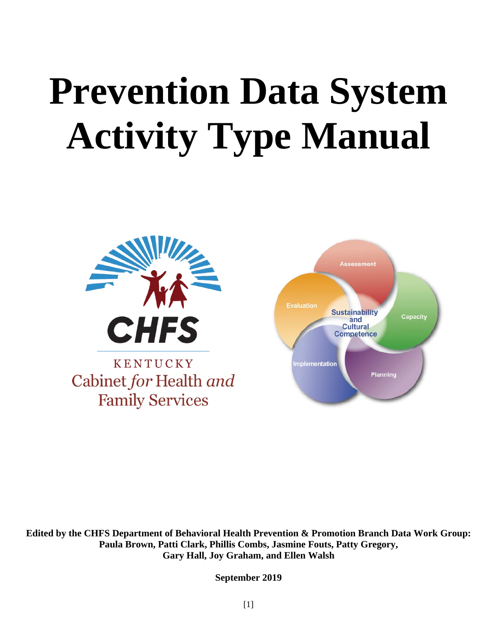# **Prevention Data System Activity Type Manual**





**Edited by the CHFS Department of Behavioral Health Prevention & Promotion Branch Data Work Group: Paula Brown, Patti Clark, Phillis Combs, Jasmine Fouts, Patty Gregory, Gary Hall, Joy Graham, and Ellen Walsh**

**September 2019**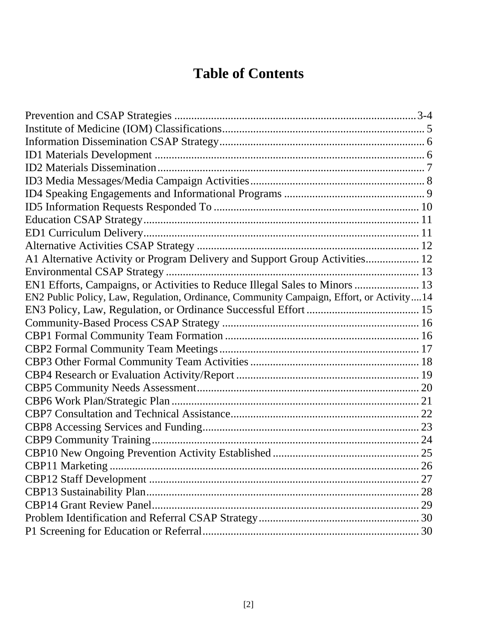# **Table of Contents**

| A1 Alternative Activity or Program Delivery and Support Group Activities 12              |  |
|------------------------------------------------------------------------------------------|--|
|                                                                                          |  |
| EN1 Efforts, Campaigns, or Activities to Reduce Illegal Sales to Minors  13              |  |
| EN2 Public Policy, Law, Regulation, Ordinance, Community Campaign, Effort, or Activity14 |  |
|                                                                                          |  |
|                                                                                          |  |
|                                                                                          |  |
|                                                                                          |  |
|                                                                                          |  |
|                                                                                          |  |
|                                                                                          |  |
|                                                                                          |  |
|                                                                                          |  |
|                                                                                          |  |
|                                                                                          |  |
|                                                                                          |  |
|                                                                                          |  |
|                                                                                          |  |
|                                                                                          |  |
|                                                                                          |  |
|                                                                                          |  |
|                                                                                          |  |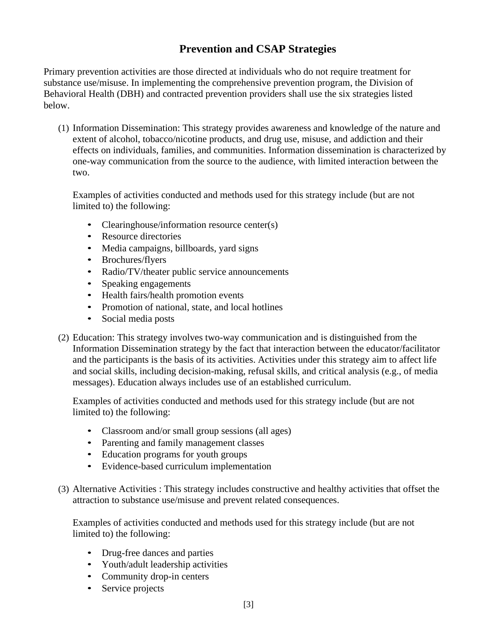### **Prevention and CSAP Strategies**

Primary prevention activities are those directed at individuals who do not require treatment for substance use/misuse. In implementing the comprehensive prevention program, the Division of Behavioral Health (DBH) and contracted prevention providers shall use the six strategies listed below.

(1) Information Dissemination: This strategy provides awareness and knowledge of the nature and extent of alcohol, tobacco/nicotine products, and drug use, misuse, and addiction and their effects on individuals, families, and communities. Information dissemination is characterized by one-way communication from the source to the audience, with limited interaction between the two.

Examples of activities conducted and methods used for this strategy include (but are not limited to) the following:

- Clearinghouse/information resource center(s)
- Resource directories
- Media campaigns, billboards, yard signs
- Brochures/flyers
- Radio/TV/theater public service announcements
- Speaking engagements
- Health fairs/health promotion events
- Promotion of national, state, and local hotlines
- Social media posts
- (2) Education: This strategy involves two-way communication and is distinguished from the Information Dissemination strategy by the fact that interaction between the educator/facilitator and the participants is the basis of its activities. Activities under this strategy aim to affect life and social skills, including decision-making, refusal skills, and critical analysis (e.g., of media messages). Education always includes use of an established curriculum.

Examples of activities conducted and methods used for this strategy include (but are not limited to) the following:

- Classroom and/or small group sessions (all ages)
- Parenting and family management classes
- Education programs for youth groups
- Evidence-based curriculum implementation
- (3) Alternative Activities : This strategy includes constructive and healthy activities that offset the attraction to substance use/misuse and prevent related consequences.

Examples of activities conducted and methods used for this strategy include (but are not limited to) the following:

- Drug-free dances and parties
- Youth/adult leadership activities
- Community drop-in centers
- Service projects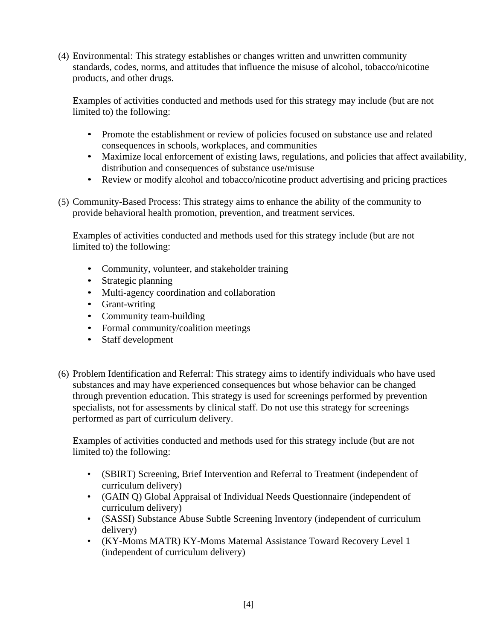(4) Environmental: This strategy establishes or changes written and unwritten community standards, codes, norms, and attitudes that influence the misuse of alcohol, tobacco/nicotine products, and other drugs.

Examples of activities conducted and methods used for this strategy may include (but are not limited to) the following:

- Promote the establishment or review of policies focused on substance use and related consequences in schools, workplaces, and communities
- Maximize local enforcement of existing laws, regulations, and policies that affect availability, distribution and consequences of substance use/misuse
- Review or modify alcohol and tobacco/nicotine product advertising and pricing practices
- (5) Community-Based Process: This strategy aims to enhance the ability of the community to provide behavioral health promotion, prevention, and treatment services.

Examples of activities conducted and methods used for this strategy include (but are not limited to) the following:

- Community, volunteer, and stakeholder training
- Strategic planning
- Multi-agency coordination and collaboration
- Grant-writing
- Community team-building
- Formal community/coalition meetings
- Staff development
- (6) Problem Identification and Referral: This strategy aims to identify individuals who have used substances and may have experienced consequences but whose behavior can be changed through prevention education. This strategy is used for screenings performed by prevention specialists, not for assessments by clinical staff. Do not use this strategy for screenings performed as part of curriculum delivery.

Examples of activities conducted and methods used for this strategy include (but are not limited to) the following:

- (SBIRT) Screening, Brief Intervention and Referral to Treatment (independent of curriculum delivery)
- (GAIN Q) Global Appraisal of Individual Needs Questionnaire (independent of curriculum delivery)
- (SASSI) Substance Abuse Subtle Screening Inventory (independent of curriculum delivery)
- (KY-Moms MATR) KY-Moms Maternal Assistance Toward Recovery Level 1 (independent of curriculum delivery)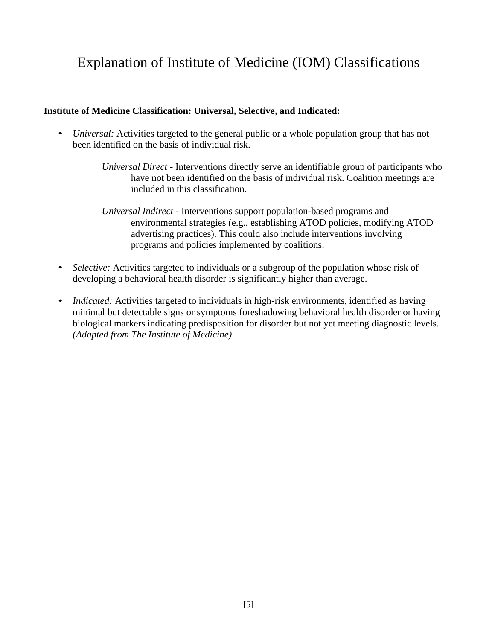# Explanation of Institute of Medicine (IOM) Classifications

#### **Institute of Medicine Classification: Universal, Selective, and Indicated:**

- *Universal:* Activities targeted to the general public or a whole population group that has not been identified on the basis of individual risk.
	- *Universal Direct*  Interventions directly serve an identifiable group of participants who have not been identified on the basis of individual risk. Coalition meetings are included in this classification.
	- *Universal Indirect*  Interventions support population-based programs and environmental strategies (e.g., establishing ATOD policies, modifying ATOD advertising practices). This could also include interventions involving programs and policies implemented by coalitions.
- *Selective:* Activities targeted to individuals or a subgroup of the population whose risk of developing a behavioral health disorder is significantly higher than average.
- *Indicated:* Activities targeted to individuals in high-risk environments, identified as having minimal but detectable signs or symptoms foreshadowing behavioral health disorder or having biological markers indicating predisposition for disorder but not yet meeting diagnostic levels. *(Adapted from The Institute of Medicine)*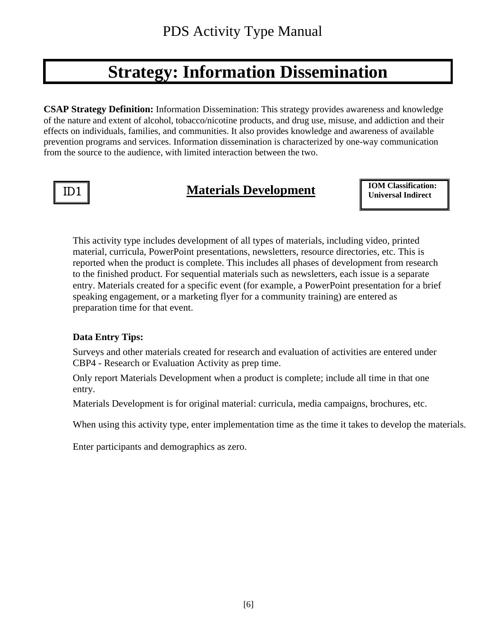# **Strategy: Information Dissemination**

**CSAP Strategy Definition:** Information Dissemination: This strategy provides awareness and knowledge of the nature and extent of alcohol, tobacco/nicotine products, and drug use, misuse, and addiction and their effects on individuals, families, and communities. It also provides knowledge and awareness of available prevention programs and services. Information dissemination is characterized by one-way communication from the source to the audience, with limited interaction between the two.

Ī

# **ID1 Materials Development ID1 ID1 IDM** Classification

**IOM Classification:** 

This activity type includes development of all types of materials, including video, printed material, curricula, PowerPoint presentations, newsletters, resource directories, etc. This is reported when the product is complete. This includes all phases of development from research to the finished product. For sequential materials such as newsletters, each issue is a separate entry. Materials created for a specific event (for example, a PowerPoint presentation for a brief speaking engagement, or a marketing flyer for a community training) are entered as preparation time for that event.

#### **Data Entry Tips:**

Surveys and other materials created for research and evaluation of activities are entered under CBP4 - Research or Evaluation Activity as prep time.

Only report Materials Development when a product is complete; include all time in that one entry.

Materials Development is for original material: curricula, media campaigns, brochures, etc.

When using this activity type, enter implementation time as the time it takes to develop the materials.

Enter participants and demographics as zero.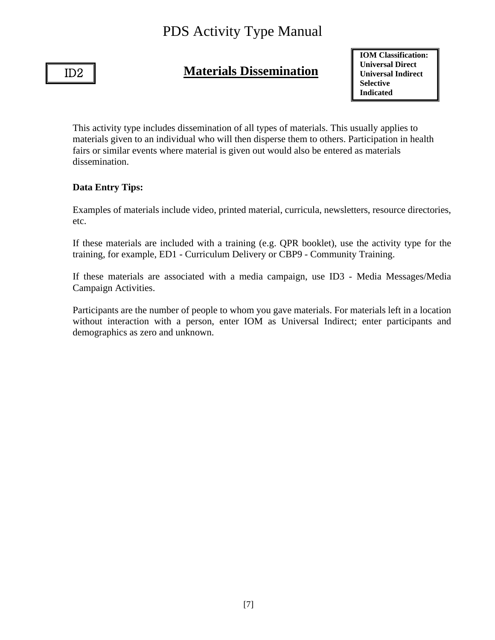#### ID2

Ϊ

### **Materials Dissemination**

**IOM Classification: Universal Direct Universal Indirect Selective Indicated**

This activity type includes dissemination of all types of materials. This usually applies to materials given to an individual who will then disperse them to others. Participation in health fairs or similar events where material is given out would also be entered as materials dissemination.

#### **Data Entry Tips:**

Examples of materials include video, printed material, curricula, newsletters, resource directories, etc.

If these materials are included with a training (e.g. QPR booklet), use the activity type for the training, for example, ED1 - Curriculum Delivery or CBP9 - Community Training.

If these materials are associated with a media campaign, use ID3 - Media Messages/Media Campaign Activities.

Participants are the number of people to whom you gave materials. For materials left in a location without interaction with a person, enter IOM as Universal Indirect; enter participants and demographics as zero and unknown.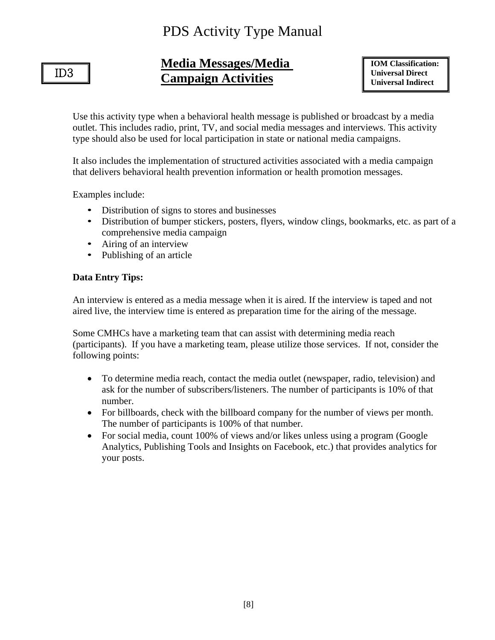### ID3

I

### **Media Messages/Media Campaign Activities**

**IOM Classification: Universal Direct Universal Indirect**

Use this activity type when a behavioral health message is published or broadcast by a media outlet. This includes radio, print, TV, and social media messages and interviews. This activity type should also be used for local participation in state or national media campaigns.

It also includes the implementation of structured activities associated with a media campaign that delivers behavioral health prevention information or health promotion messages.

Examples include:

- Distribution of signs to stores and businesses
- Distribution of bumper stickers, posters, flyers, window clings, bookmarks, etc. as part of a comprehensive media campaign
- Airing of an interview
- Publishing of an article

#### **Data Entry Tips:**

An interview is entered as a media message when it is aired. If the interview is taped and not aired live, the interview time is entered as preparation time for the airing of the message.

Some CMHCs have a marketing team that can assist with determining media reach (participants). If you have a marketing team, please utilize those services. If not, consider the following points:

- To determine media reach, contact the media outlet (newspaper, radio, television) and ask for the number of subscribers/listeners. The number of participants is 10% of that number.
- For billboards, check with the billboard company for the number of views per month. The number of participants is 100% of that number.
- For social media, count 100% of views and/or likes unless using a program (Google Analytics, Publishing Tools and Insights on Facebook, etc.) that provides analytics for your posts.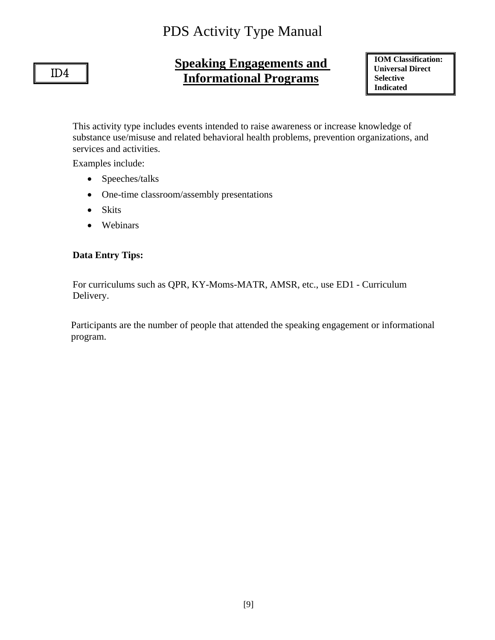### ID4

Ϊ

# **Speaking Engagements and Informational Programs**

**IOM Classification: Universal Direct Selective Indicated**

This activity type includes events intended to raise awareness or increase knowledge of substance use/misuse and related behavioral health problems, prevention organizations, and services and activities.

Examples include:

- Speeches/talks
- One-time classroom/assembly presentations
- Skits
- Webinars

#### **Data Entry Tips:**

For curriculums such as QPR, KY-Moms-MATR, AMSR, etc., use ED1 - Curriculum Delivery.

 Participants are the number of people that attended the speaking engagement or informational program.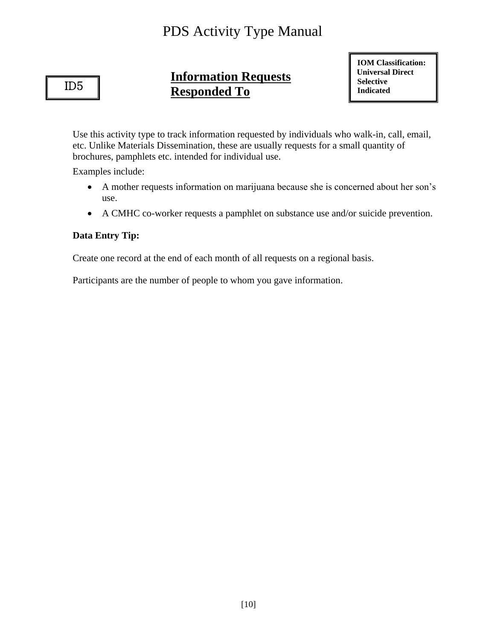ID5

ī

# **Information Requests Responded To**

**IOM Classification: Universal Direct Selective Indicated** 

Use this activity type to track information requested by individuals who walk-in, call, email, etc. Unlike Materials Dissemination, these are usually requests for a small quantity of brochures, pamphlets etc. intended for individual use.

Examples include:

- A mother requests information on marijuana because she is concerned about her son's use.
- A CMHC co-worker requests a pamphlet on substance use and/or suicide prevention.

#### **Data Entry Tip:**

Create one record at the end of each month of all requests on a regional basis.

Participants are the number of people to whom you gave information.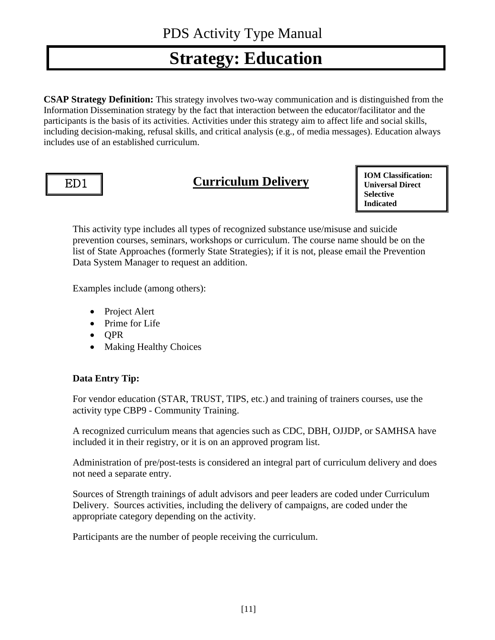# **Strategy: Education**

**CSAP Strategy Definition:** This strategy involves two-way communication and is distinguished from the Information Dissemination strategy by the fact that interaction between the educator/facilitator and the participants is the basis of its activities. Activities under this strategy aim to affect life and social skills, including decision-making, refusal skills, and critical analysis (e.g., of media messages). Education always includes use of an established curriculum.

# ED1

Ξ

# **Curriculum Delivery**

**IOM Classification: Universal Direct Selective Indicated**

This activity type includes all types of recognized substance use/misuse and suicide prevention courses, seminars, workshops or curriculum. The course name should be on the list of State Approaches (formerly State Strategies); if it is not, please email the Prevention Data System Manager to request an addition.

Examples include (among others):

- Project Alert
- Prime for Life
- QPR
- Making Healthy Choices

#### **Data Entry Tip:**

For vendor education (STAR, TRUST, TIPS, etc.) and training of trainers courses, use the activity type CBP9 - Community Training.

A recognized curriculum means that agencies such as CDC, DBH, OJJDP, or SAMHSA have included it in their registry, or it is on an approved program list.

Administration of pre/post-tests is considered an integral part of curriculum delivery and does not need a separate entry.

Sources of Strength trainings of adult advisors and peer leaders are coded under Curriculum Delivery. Sources activities, including the delivery of campaigns, are coded under the appropriate category depending on the activity.

Participants are the number of people receiving the curriculum.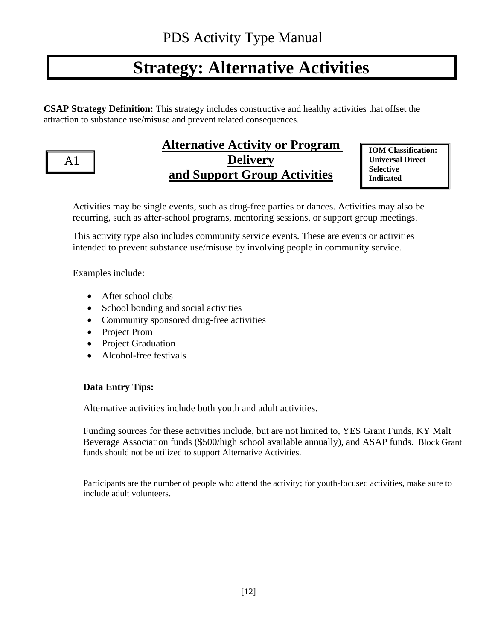# **Strategy: Alternative Activities**

**CSAP Strategy Definition:** This strategy includes constructive and healthy activities that offset the attraction to substance use/misuse and prevent related consequences.

A1

Ξ

### **Alternative Activity or Program Delivery and Support Group Activities**

**IOM Classification: Universal Direct Selective Indicated**

Activities may be single events, such as drug-free parties or dances. Activities may also be recurring, such as after-school programs, mentoring sessions, or support group meetings.

This activity type also includes community service events. These are events or activities intended to prevent substance use/misuse by involving people in community service.

Examples include:

- After school clubs
- School bonding and social activities
- Community sponsored drug-free activities
- Project Prom
- Project Graduation
- Alcohol-free festivals

#### **Data Entry Tips:**

Alternative activities include both youth and adult activities.

Funding sources for these activities include, but are not limited to, YES Grant Funds, KY Malt Beverage Association funds (\$500/high school available annually), and ASAP funds. Block Grant funds should not be utilized to support Alternative Activities.

Participants are the number of people who attend the activity; for youth-focused activities, make sure to include adult volunteers.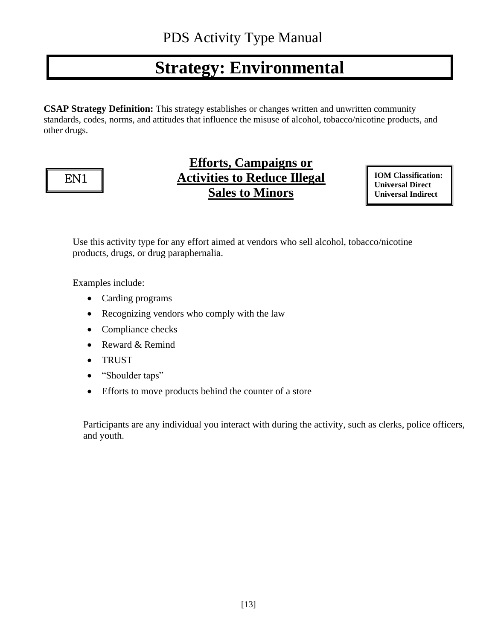# **Strategy: Environmental**

**CSAP Strategy Definition:** This strategy establishes or changes written and unwritten community standards, codes, norms, and attitudes that influence the misuse of alcohol, tobacco/nicotine products, and other drugs.



# **Efforts, Campaigns or Activities to Reduce Illegal Sales to Minors**

**IOM Classification: Universal Direct Universal Indirect**

Use this activity type for any effort aimed at vendors who sell alcohol, tobacco/nicotine products, drugs, or drug paraphernalia.

Examples include:

- Carding programs
- Recognizing vendors who comply with the law
- Compliance checks
- Reward & Remind
- TRUST
- "Shoulder taps"
- Efforts to move products behind the counter of a store

Participants are any individual you interact with during the activity, such as clerks, police officers, and youth.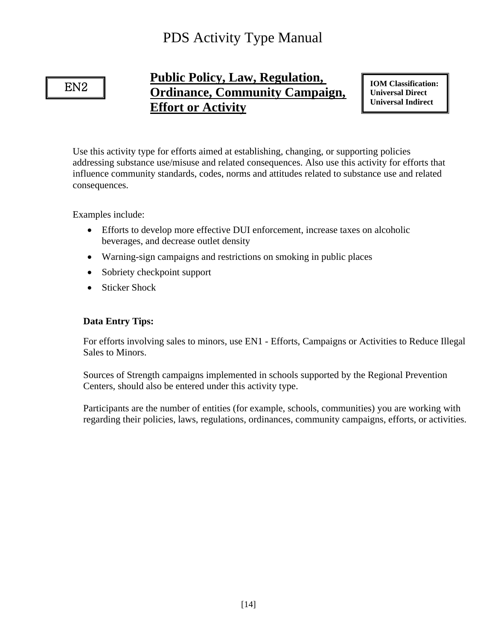EN2

Ξ

# **Public Policy, Law, Regulation, Ordinance, Community Campaign, Effort or Activity**

**IOM Classification: Universal Direct Universal Indirect**

Use this activity type for efforts aimed at establishing, changing, or supporting policies addressing substance use/misuse and related consequences. Also use this activity for efforts that influence community standards, codes, norms and attitudes related to substance use and related consequences.

Examples include:

- Efforts to develop more effective DUI enforcement, increase taxes on alcoholic beverages, and decrease outlet density
- Warning-sign campaigns and restrictions on smoking in public places
- Sobriety checkpoint support
- Sticker Shock

#### **Data Entry Tips:**

For efforts involving sales to minors, use EN1 - Efforts, Campaigns or Activities to Reduce Illegal Sales to Minors.

Sources of Strength campaigns implemented in schools supported by the Regional Prevention Centers, should also be entered under this activity type.

Participants are the number of entities (for example, schools, communities) you are working with regarding their policies, laws, regulations, ordinances, community campaigns, efforts, or activities.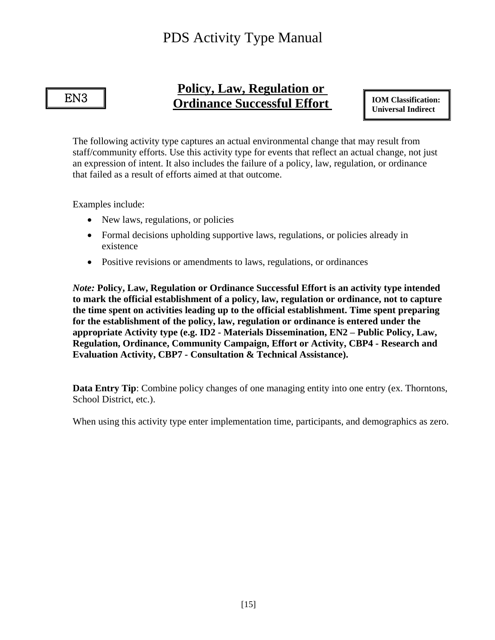#### EN3

٦

### **Policy, Law, Regulation or Ordinance Successful Effort**

**IOM Classification: Universal Indirect**

The following activity type captures an actual environmental change that may result from staff/community efforts. Use this activity type for events that reflect an actual change, not just an expression of intent. It also includes the failure of a policy, law, regulation, or ordinance that failed as a result of efforts aimed at that outcome.

Examples include:

- New laws, regulations, or policies
- Formal decisions upholding supportive laws, regulations, or policies already in existence
- Positive revisions or amendments to laws, regulations, or ordinances

*Note:* **Policy, Law, Regulation or Ordinance Successful Effort is an activity type intended to mark the official establishment of a policy, law, regulation or ordinance, not to capture the time spent on activities leading up to the official establishment. Time spent preparing for the establishment of the policy, law, regulation or ordinance is entered under the appropriate Activity type (e.g. ID2 - Materials Dissemination, EN2 – Public Policy, Law, Regulation, Ordinance, Community Campaign, Effort or Activity, CBP4 - Research and Evaluation Activity, CBP7 - Consultation & Technical Assistance).**

**Data Entry Tip**: Combine policy changes of one managing entity into one entry (ex. Thorntons, School District, etc.).

When using this activity type enter implementation time, participants, and demographics as zero.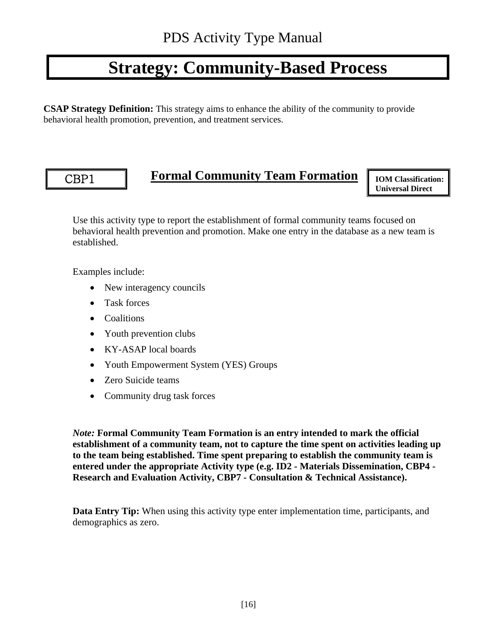# **Strategy: Community-Based Process**

**CSAP Strategy Definition:** This strategy aims to enhance the ability of the community to provide behavioral health promotion, prevention, and treatment services.

#### CBP1

Ξ

# **Formal Community Team Formation**

**IOM Classification: Universal Direct**

Use this activity type to report the establishment of formal community teams focused on behavioral health prevention and promotion. Make one entry in the database as a new team is established.

Examples include:

- New interagency councils
- Task forces
- Coalitions
- Youth prevention clubs
- KY-ASAP local boards
- Youth Empowerment System (YES) Groups
- Zero Suicide teams
- Community drug task forces

*Note:* **Formal Community Team Formation is an entry intended to mark the official establishment of a community team, not to capture the time spent on activities leading up to the team being established. Time spent preparing to establish the community team is entered under the appropriate Activity type (e.g. ID2 - Materials Dissemination, CBP4 - Research and Evaluation Activity, CBP7 - Consultation & Technical Assistance).**

**Data Entry Tip:** When using this activity type enter implementation time, participants, and demographics as zero.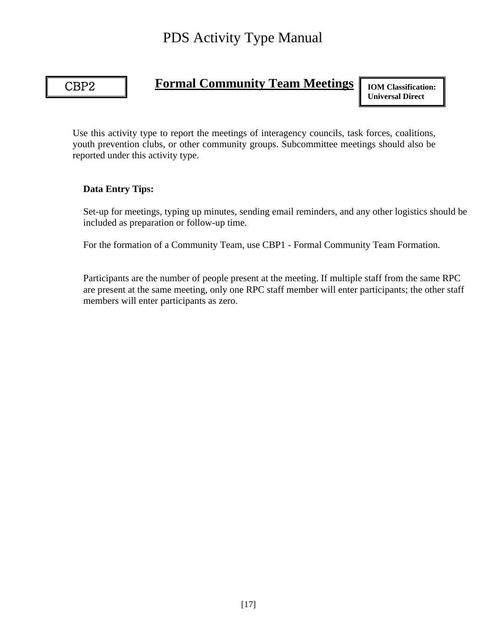### CBP2

٦

### **Formal Community Team Meetings**

**IOM Classification: Universal Direct**

Use this activity type to report the meetings of interagency councils, task forces, coalitions, youth prevention clubs, or other community groups. Subcommittee meetings should also be reported under this activity type.

#### **Data Entry Tips:**

Set-up for meetings, typing up minutes, sending email reminders, and any other logistics should be included as preparation or follow-up time.

For the formation of a Community Team, use CBP1 - Formal Community Team Formation.

Participants are the number of people present at the meeting. If multiple staff from the same RPC are present at the same meeting, only one RPC staff member will enter participants; the other staff members will enter participants as zero.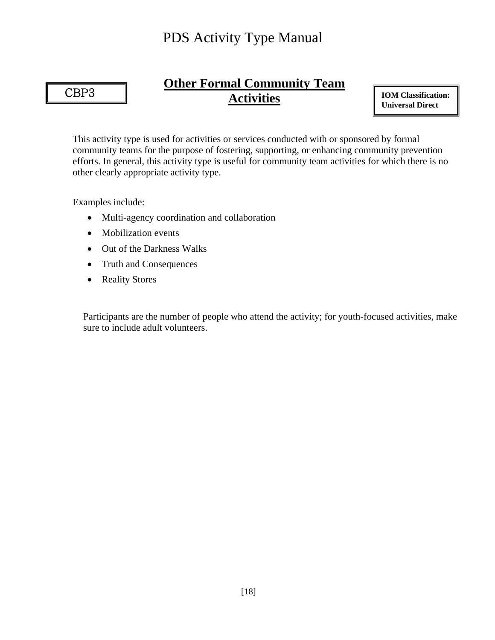### CBP3

٦

# **Other Formal Community Team Activities**

**IOM Classification: Universal Direct**

This activity type is used for activities or services conducted with or sponsored by formal community teams for the purpose of fostering, supporting, or enhancing community prevention efforts. In general, this activity type is useful for community team activities for which there is no other clearly appropriate activity type.

Examples include:

- Multi-agency coordination and collaboration
- Mobilization events
- Out of the Darkness Walks
- Truth and Consequences
- Reality Stores

Participants are the number of people who attend the activity; for youth-focused activities, make sure to include adult volunteers.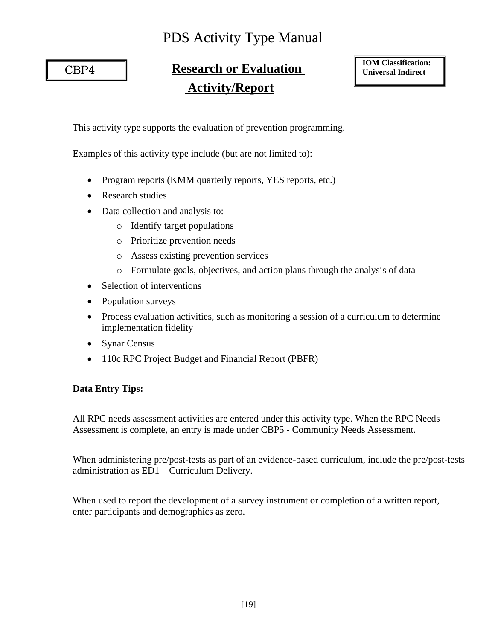CBP4

٦

# **Research or Evaluation Activity/Report**

**IOM Classification: Universal Indirect**

This activity type supports the evaluation of prevention programming.

Examples of this activity type include (but are not limited to):

- Program reports (KMM quarterly reports, YES reports, etc.)
- Research studies
- Data collection and analysis to:
	- o Identify target populations
	- o Prioritize prevention needs
	- o Assess existing prevention services
	- o Formulate goals, objectives, and action plans through the analysis of data
- Selection of interventions
- Population surveys
- Process evaluation activities, such as monitoring a session of a curriculum to determine implementation fidelity
- Synar Census
- 110c RPC Project Budget and Financial Report (PBFR)

#### **Data Entry Tips:**

All RPC needs assessment activities are entered under this activity type. When the RPC Needs Assessment is complete, an entry is made under CBP5 - Community Needs Assessment.

When administering pre/post-tests as part of an evidence-based curriculum, include the pre/post-tests administration as ED1 – Curriculum Delivery.

When used to report the development of a survey instrument or completion of a written report, enter participants and demographics as zero.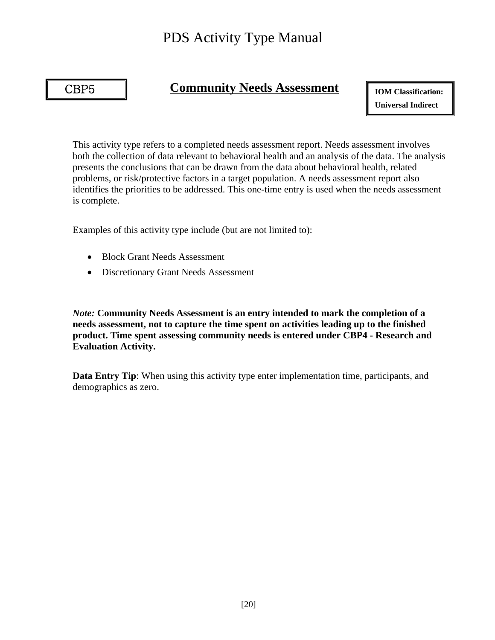#### CBP5

٦

### **Community Needs Assessment**

**IOM Classification: Universal Indirect**

This activity type refers to a completed needs assessment report. Needs assessment involves both the collection of data relevant to behavioral health and an analysis of the data. The analysis presents the conclusions that can be drawn from the data about behavioral health, related problems, or risk/protective factors in a target population. A needs assessment report also identifies the priorities to be addressed. This one-time entry is used when the needs assessment is complete.

Examples of this activity type include (but are not limited to):

- Block Grant Needs Assessment
- Discretionary Grant Needs Assessment

*Note:* **Community Needs Assessment is an entry intended to mark the completion of a needs assessment, not to capture the time spent on activities leading up to the finished product. Time spent assessing community needs is entered under CBP4 - Research and Evaluation Activity.**

**Data Entry Tip**: When using this activity type enter implementation time, participants, and demographics as zero.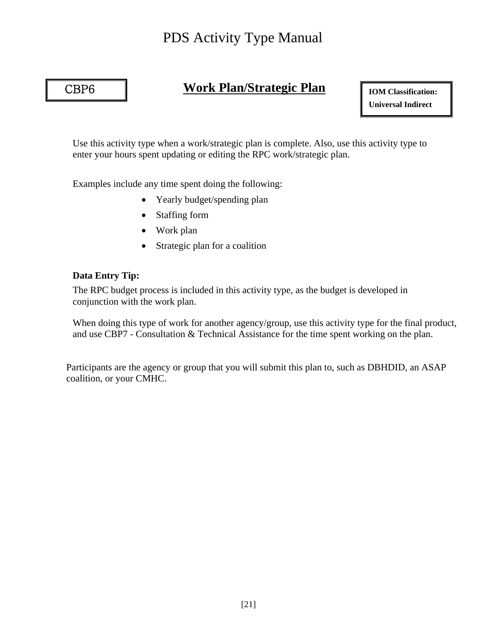#### CBP6

Ξ

### **Work Plan/Strategic Plan**

**IOM Classification: Universal Indirect**

Use this activity type when a work/strategic plan is complete. Also, use this activity type to enter your hours spent updating or editing the RPC work/strategic plan.

Examples include any time spent doing the following:

- Yearly budget/spending plan
- Staffing form
- Work plan
- Strategic plan for a coalition

#### **Data Entry Tip:**

The RPC budget process is included in this activity type, as the budget is developed in conjunction with the work plan.

When doing this type of work for another agency/group, use this activity type for the final product, and use CBP7 - Consultation & Technical Assistance for the time spent working on the plan.

Participants are the agency or group that you will submit this plan to, such as DBHDID, an ASAP coalition, or your CMHC.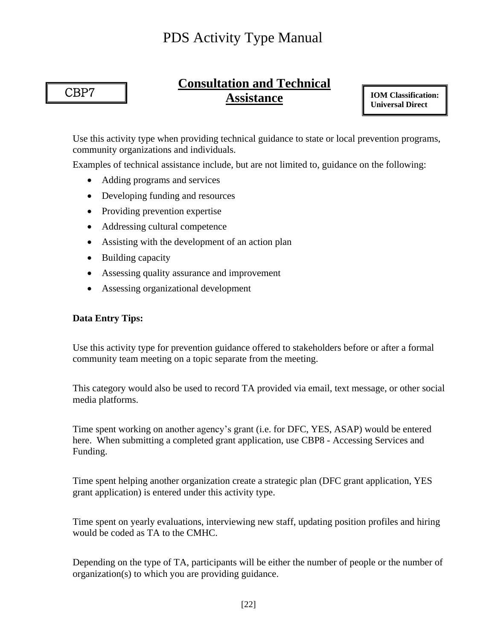CBP7

٦

# **Consultation and Technical Assistance**

**IOM Classification: Universal Direct**

Use this activity type when providing technical guidance to state or local prevention programs, community organizations and individuals.

Examples of technical assistance include, but are not limited to, guidance on the following:

- Adding programs and services
- Developing funding and resources
- Providing prevention expertise
- Addressing cultural competence
- Assisting with the development of an action plan
- Building capacity
- Assessing quality assurance and improvement
- Assessing organizational development

#### **Data Entry Tips:**

Use this activity type for prevention guidance offered to stakeholders before or after a formal community team meeting on a topic separate from the meeting.

This category would also be used to record TA provided via email, text message, or other social media platforms.

Time spent working on another agency's grant (i.e. for DFC, YES, ASAP) would be entered here. When submitting a completed grant application, use CBP8 - Accessing Services and Funding.

Time spent helping another organization create a strategic plan (DFC grant application, YES grant application) is entered under this activity type.

Time spent on yearly evaluations, interviewing new staff, updating position profiles and hiring would be coded as TA to the CMHC.

Depending on the type of TA, participants will be either the number of people or the number of organization(s) to which you are providing guidance.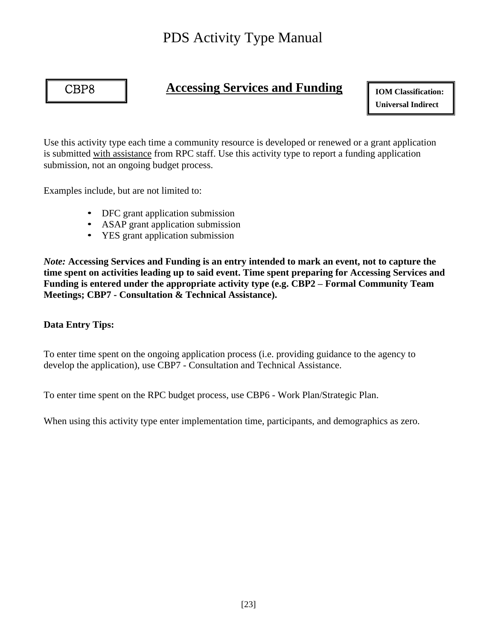

I

### **Accessing Services and Funding**

**IOM Classification: Universal Indirect**

Use this activity type each time a community resource is developed or renewed or a grant application is submitted with assistance from RPC staff. Use this activity type to report a funding application submission, not an ongoing budget process.

Examples include, but are not limited to:

- DFC grant application submission
- ASAP grant application submission
- YES grant application submission

*Note:* **Accessing Services and Funding is an entry intended to mark an event, not to capture the time spent on activities leading up to said event. Time spent preparing for Accessing Services and Funding is entered under the appropriate activity type (e.g. CBP2 – Formal Community Team Meetings; CBP7 - Consultation & Technical Assistance).**

#### **Data Entry Tips:**

To enter time spent on the ongoing application process (i.e. providing guidance to the agency to develop the application), use CBP7 - Consultation and Technical Assistance.

To enter time spent on the RPC budget process, use CBP6 - Work Plan/Strategic Plan.

When using this activity type enter implementation time, participants, and demographics as zero.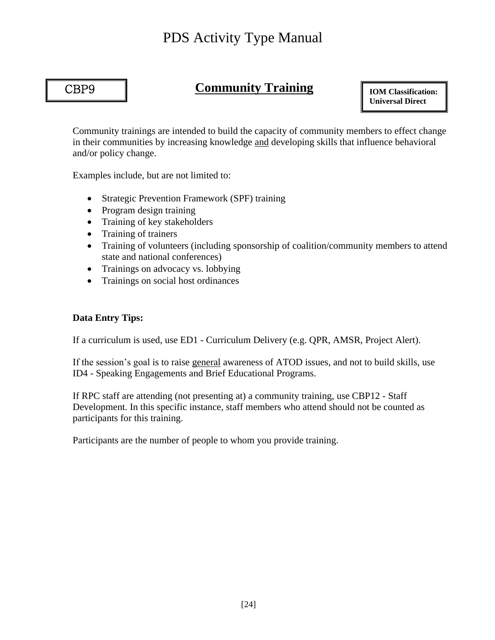#### CBP9

Ī

### **Community Training**

**IOM Classification: Universal Direct**

Community trainings are intended to build the capacity of community members to effect change in their communities by increasing knowledge and developing skills that influence behavioral and/or policy change.

Examples include, but are not limited to:

- Strategic Prevention Framework (SPF) training
- Program design training
- Training of key stakeholders
- Training of trainers
- Training of volunteers (including sponsorship of coalition/community members to attend state and national conferences)
- Trainings on advocacy vs. lobbying
- Trainings on social host ordinances

#### **Data Entry Tips:**

If a curriculum is used, use ED1 - Curriculum Delivery (e.g. QPR, AMSR, Project Alert).

If the session's goal is to raise general awareness of ATOD issues, and not to build skills, use ID4 - Speaking Engagements and Brief Educational Programs.

If RPC staff are attending (not presenting at) a community training, use CBP12 - Staff Development. In this specific instance, staff members who attend should not be counted as participants for this training.

Participants are the number of people to whom you provide training.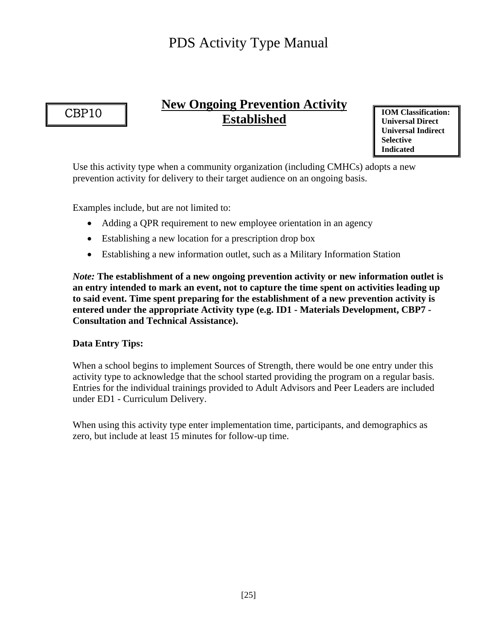### CBP10

Ī

## **New Ongoing Prevention Activity Established**

**IOM Classification: Universal Direct Universal Indirect Selective Indicated**

Use this activity type when a community organization (including CMHCs) adopts a new prevention activity for delivery to their target audience on an ongoing basis.

Examples include, but are not limited to:

- Adding a QPR requirement to new employee orientation in an agency
- Establishing a new location for a prescription drop box
- Establishing a new information outlet, such as a Military Information Station

*Note:* **The establishment of a new ongoing prevention activity or new information outlet is an entry intended to mark an event, not to capture the time spent on activities leading up to said event. Time spent preparing for the establishment of a new prevention activity is entered under the appropriate Activity type (e.g. ID1 - Materials Development, CBP7 - Consultation and Technical Assistance).**

#### **Data Entry Tips:**

When a school begins to implement Sources of Strength, there would be one entry under this activity type to acknowledge that the school started providing the program on a regular basis. Entries for the individual trainings provided to Adult Advisors and Peer Leaders are included under ED1 - Curriculum Delivery.

When using this activity type enter implementation time, participants, and demographics as zero, but include at least 15 minutes for follow-up time.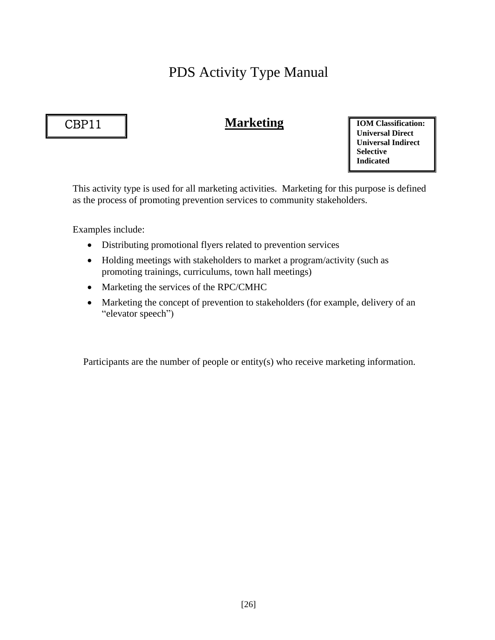### CBP11

ī

### **Marketing**

**IOM Classification: Universal Direct Universal Indirect Selective Indicated**

This activity type is used for all marketing activities. Marketing for this purpose is defined as the process of promoting prevention services to community stakeholders.

Examples include:

- Distributing promotional flyers related to prevention services
- Holding meetings with stakeholders to market a program/activity (such as promoting trainings, curriculums, town hall meetings)
- Marketing the services of the RPC/CMHC
- Marketing the concept of prevention to stakeholders (for example, delivery of an "elevator speech")

Participants are the number of people or entity(s) who receive marketing information.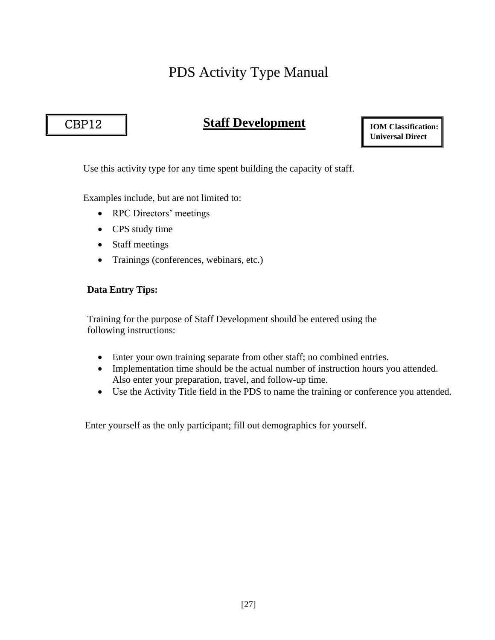### CBP12

ֺֺ

### **Staff Development**

**IOM Classification: Universal Direct**

Use this activity type for any time spent building the capacity of staff.

Examples include, but are not limited to:

- RPC Directors' meetings
- CPS study time
- Staff meetings
- Trainings (conferences, webinars, etc.)

#### **Data Entry Tips:**

Training for the purpose of Staff Development should be entered using the following instructions:

- Enter your own training separate from other staff; no combined entries.
- Implementation time should be the actual number of instruction hours you attended. Also enter your preparation, travel, and follow-up time.
- Use the Activity Title field in the PDS to name the training or conference you attended.

Enter yourself as the only participant; fill out demographics for yourself.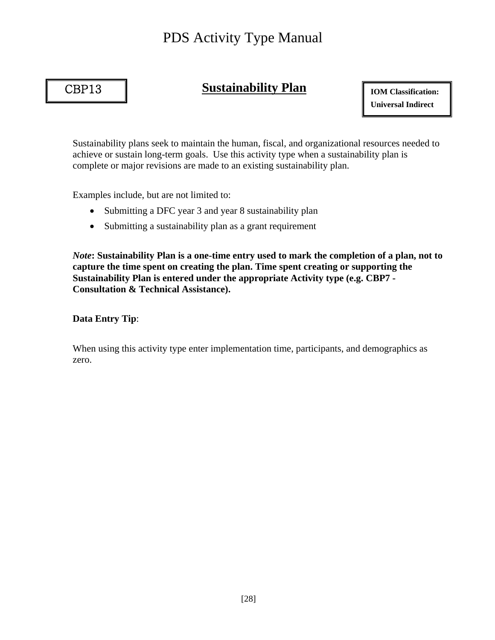### CBP13

I

### **Sustainability Plan**

**IOM Classification: Universal Indirect**

Sustainability plans seek to maintain the human, fiscal, and organizational resources needed to achieve or sustain long-term goals. Use this activity type when a sustainability plan is complete or major revisions are made to an existing sustainability plan.

Examples include, but are not limited to:

- Submitting a DFC year 3 and year 8 sustainability plan
- Submitting a sustainability plan as a grant requirement

*Note***: Sustainability Plan is a one-time entry used to mark the completion of a plan, not to capture the time spent on creating the plan. Time spent creating or supporting the Sustainability Plan is entered under the appropriate Activity type (e.g. CBP7 - Consultation & Technical Assistance).**

#### **Data Entry Tip**:

When using this activity type enter implementation time, participants, and demographics as zero.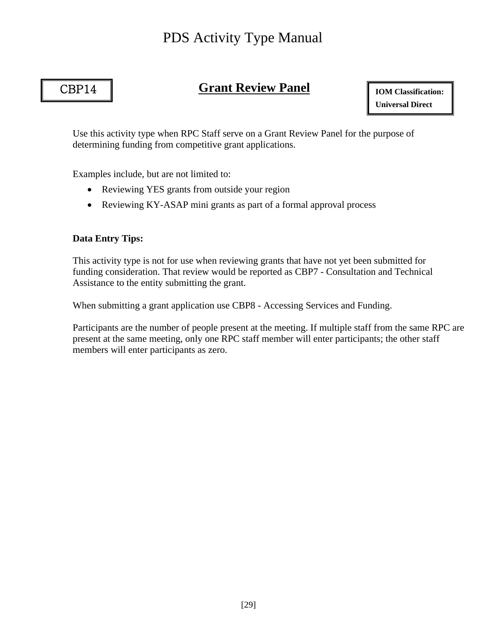### CBP14

Ī

# **Grant Review Panel**

**IOM Classification: Universal Direct**

Use this activity type when RPC Staff serve on a Grant Review Panel for the purpose of determining funding from competitive grant applications.

Examples include, but are not limited to:

- Reviewing YES grants from outside your region
- Reviewing KY-ASAP mini grants as part of a formal approval process

#### **Data Entry Tips:**

This activity type is not for use when reviewing grants that have not yet been submitted for funding consideration. That review would be reported as CBP7 - Consultation and Technical Assistance to the entity submitting the grant.

When submitting a grant application use CBP8 - Accessing Services and Funding.

Participants are the number of people present at the meeting. If multiple staff from the same RPC are present at the same meeting, only one RPC staff member will enter participants; the other staff members will enter participants as zero.